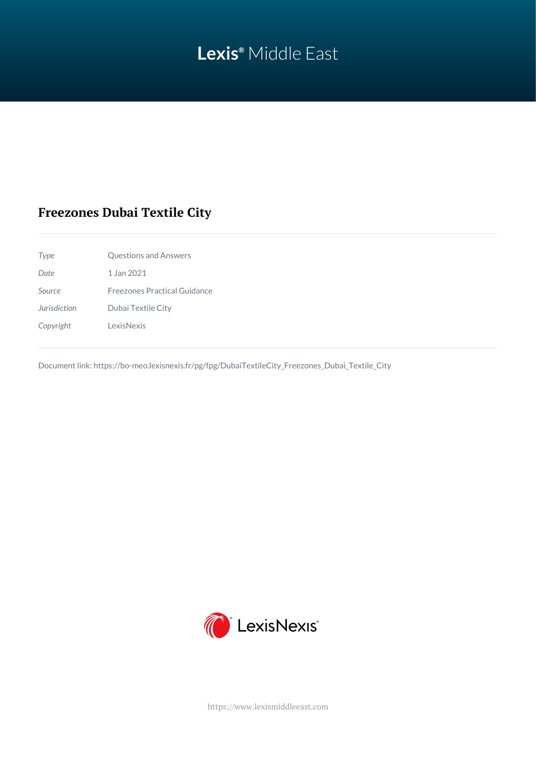# **Lexis®** Middle East

## **Freezones Dubai Textile City**

| Type                | <b>Questions and Answers</b>        |
|---------------------|-------------------------------------|
| Date                | 1 Jan 2021                          |
| Source              | <b>Freezones Practical Guidance</b> |
| <b>Jurisdiction</b> | Dubai Textile City                  |
| Copyright           | <b>LexisNexis</b>                   |

Document link: [https://bo-meo.lexisnexis.fr/pg/fpg/DubaiTextileCity\\_Freezones\\_Dubai\\_Textile\\_City](https://bo-meo.lexisnexis.fr/pg/fpg/DubaiTextileCity_Freezones_Dubai_Textile_City)



<https://www.lexismiddleeast.com>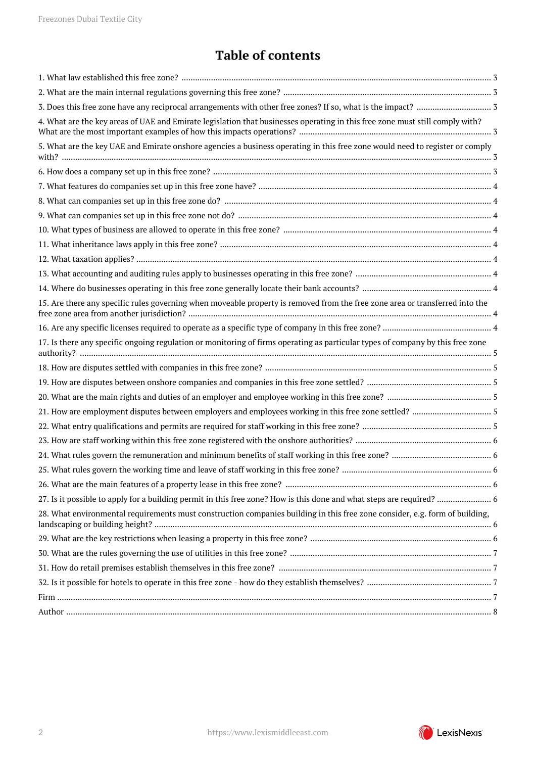## **Table of contents**

| 4. What are the key areas of UAE and Emirate legislation that businesses operating in this free zone must still comply with?<br>5. What are the key UAE and Emirate onshore agencies a business operating in this free zone would need to register or comply<br>15. Are there any specific rules governing when moveable property is removed from the free zone area or transferred into the<br>17. Is there any specific ongoing regulation or monitoring of firms operating as particular types of company by this free zone |
|--------------------------------------------------------------------------------------------------------------------------------------------------------------------------------------------------------------------------------------------------------------------------------------------------------------------------------------------------------------------------------------------------------------------------------------------------------------------------------------------------------------------------------|
|                                                                                                                                                                                                                                                                                                                                                                                                                                                                                                                                |
|                                                                                                                                                                                                                                                                                                                                                                                                                                                                                                                                |
|                                                                                                                                                                                                                                                                                                                                                                                                                                                                                                                                |
|                                                                                                                                                                                                                                                                                                                                                                                                                                                                                                                                |
|                                                                                                                                                                                                                                                                                                                                                                                                                                                                                                                                |
|                                                                                                                                                                                                                                                                                                                                                                                                                                                                                                                                |
|                                                                                                                                                                                                                                                                                                                                                                                                                                                                                                                                |
|                                                                                                                                                                                                                                                                                                                                                                                                                                                                                                                                |
|                                                                                                                                                                                                                                                                                                                                                                                                                                                                                                                                |
|                                                                                                                                                                                                                                                                                                                                                                                                                                                                                                                                |
|                                                                                                                                                                                                                                                                                                                                                                                                                                                                                                                                |
|                                                                                                                                                                                                                                                                                                                                                                                                                                                                                                                                |
|                                                                                                                                                                                                                                                                                                                                                                                                                                                                                                                                |
|                                                                                                                                                                                                                                                                                                                                                                                                                                                                                                                                |
|                                                                                                                                                                                                                                                                                                                                                                                                                                                                                                                                |
|                                                                                                                                                                                                                                                                                                                                                                                                                                                                                                                                |
|                                                                                                                                                                                                                                                                                                                                                                                                                                                                                                                                |
|                                                                                                                                                                                                                                                                                                                                                                                                                                                                                                                                |
|                                                                                                                                                                                                                                                                                                                                                                                                                                                                                                                                |
|                                                                                                                                                                                                                                                                                                                                                                                                                                                                                                                                |
|                                                                                                                                                                                                                                                                                                                                                                                                                                                                                                                                |
|                                                                                                                                                                                                                                                                                                                                                                                                                                                                                                                                |
|                                                                                                                                                                                                                                                                                                                                                                                                                                                                                                                                |
|                                                                                                                                                                                                                                                                                                                                                                                                                                                                                                                                |
|                                                                                                                                                                                                                                                                                                                                                                                                                                                                                                                                |
| 27. Is it possible to apply for a building permit in this free zone? How is this done and what steps are required?  6                                                                                                                                                                                                                                                                                                                                                                                                          |
| 28. What environmental requirements must construction companies building in this free zone consider, e.g. form of building,                                                                                                                                                                                                                                                                                                                                                                                                    |
|                                                                                                                                                                                                                                                                                                                                                                                                                                                                                                                                |
|                                                                                                                                                                                                                                                                                                                                                                                                                                                                                                                                |
|                                                                                                                                                                                                                                                                                                                                                                                                                                                                                                                                |
|                                                                                                                                                                                                                                                                                                                                                                                                                                                                                                                                |
|                                                                                                                                                                                                                                                                                                                                                                                                                                                                                                                                |
|                                                                                                                                                                                                                                                                                                                                                                                                                                                                                                                                |

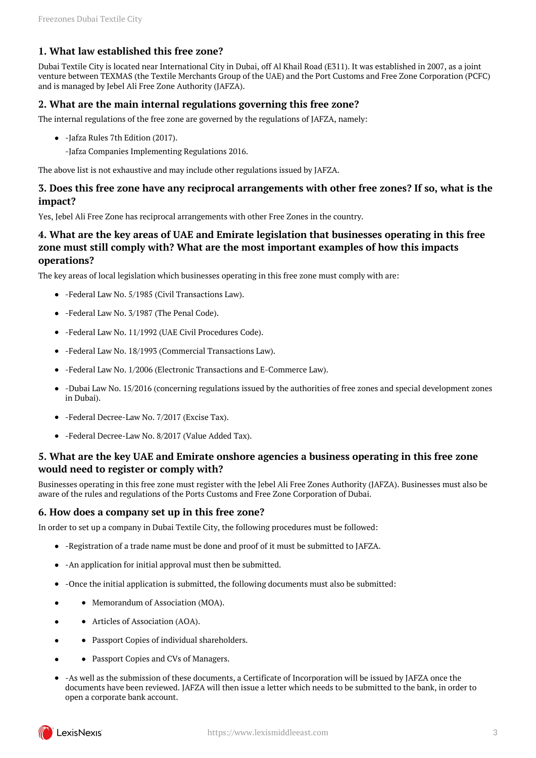## <span id="page-2-0"></span>**1. What law established this free zone?**

Dubai Textile City is located near International City in Dubai, off Al Khail Road (E311). It was established in 2007, as a joint venture between TEXMAS (the Textile Merchants Group of the UAE) and the Port Customs and Free Zone Corporation (PCFC) and is managed by Jebel Ali Free Zone Authority (JAFZA).

## <span id="page-2-1"></span>**2. What are the main internal regulations governing this free zone?**

The internal regulations of the free zone are governed by the regulations of JAFZA, namely:

- -Jafza Rules 7th Edition (2017).
	- -Jafza Companies Implementing Regulations 2016.

The above list is not exhaustive and may include other regulations issued by JAFZA.

## <span id="page-2-2"></span>**3. Does this free zone have any reciprocal arrangements with other free zones? If so, what is the impact?**

Yes, Jebel Ali Free Zone has reciprocal arrangements with other Free Zones in the country.

## <span id="page-2-3"></span>**4. What are the key areas of UAE and Emirate legislation that businesses operating in this free zone must still comply with? What are the most important examples of how this impacts operations?**

The key areas of local legislation which businesses operating in this free zone must comply with are:

- -Federal Law No. 5/1985 (Civil Transactions Law).
- -Federal Law No. 3/1987 (The Penal Code).
- -Federal Law No. 11/1992 (UAE Civil Procedures Code).
- -Federal Law No. 18/1993 (Commercial Transactions Law).
- -Federal Law No. 1/2006 (Electronic Transactions and E-Commerce Law).
- -Dubai Law No. 15/2016 (concerning regulations issued by the authorities of free zones and special development zones in Dubai).
- -Federal Decree-Law No. 7/2017 (Excise Tax).
- -Federal Decree-Law No. 8/2017 (Value Added Tax).

## <span id="page-2-4"></span>**5. What are the key UAE and Emirate onshore agencies a business operating in this free zone would need to register or comply with?**

Businesses operating in this free zone must register with the Jebel Ali Free Zones Authority (JAFZA). Businesses must also be aware of the rules and regulations of the Ports Customs and Free Zone Corporation of Dubai.

#### <span id="page-2-5"></span>**6. How does a company set up in this free zone?**

In order to set up a company in Dubai Textile City, the following procedures must be followed:

- -Registration of a trade name must be done and proof of it must be submitted to JAFZA.
- -An application for initial approval must then be submitted.
- -Once the initial application is submitted, the following documents must also be submitted:
- Memorandum of Association (MOA).
- Articles of Association (AOA).
- Passport Copies of individual shareholders.
- Passport Copies and CVs of Managers.
- -As well as the submission of these documents, a Certificate of Incorporation will be issued by JAFZA once the documents have been reviewed. JAFZA will then issue a letter which needs to be submitted to the bank, in order to open a corporate bank account.

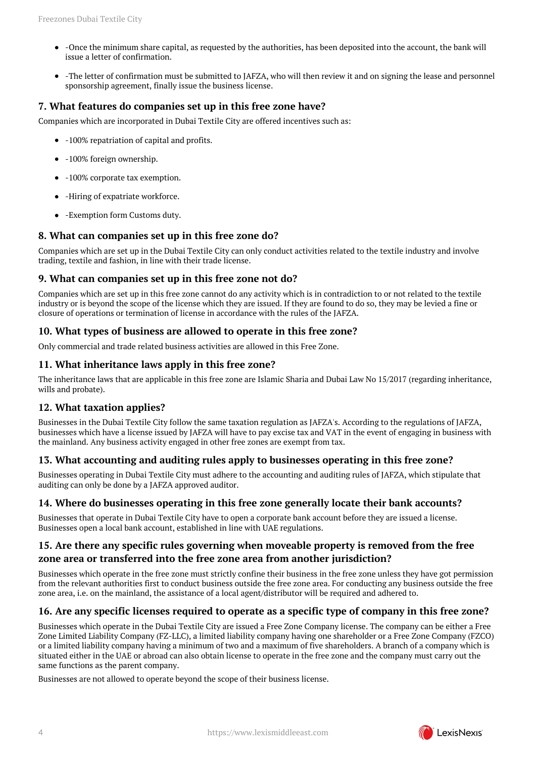- -Once the minimum share capital, as requested by the authorities, has been deposited into the account, the bank will issue a letter of confirmation.
- -The letter of confirmation must be submitted to JAFZA, who will then review it and on signing the lease and personnel sponsorship agreement, finally issue the business license.

## <span id="page-3-0"></span>**7. What features do companies set up in this free zone have?**

Companies which are incorporated in Dubai Textile City are offered incentives such as:

- -100% repatriation of capital and profits.
- -100% foreign ownership.
- -100% corporate tax exemption.
- -Hiring of expatriate workforce.
- -Exemption form Customs duty.

## <span id="page-3-1"></span>**8. What can companies set up in this free zone do?**

Companies which are set up in the Dubai Textile City can only conduct activities related to the textile industry and involve trading, textile and fashion, in line with their trade license.

## <span id="page-3-2"></span>**9. What can companies set up in this free zone not do?**

Companies which are set up in this free zone cannot do any activity which is in contradiction to or not related to the textile industry or is beyond the scope of the license which they are issued. If they are found to do so, they may be levied a fine or closure of operations or termination of license in accordance with the rules of the JAFZA.

#### <span id="page-3-3"></span>**10. What types of business are allowed to operate in this free zone?**

Only commercial and trade related business activities are allowed in this Free Zone.

## <span id="page-3-4"></span>**11. What inheritance laws apply in this free zone?**

The inheritance laws that are applicable in this free zone are Islamic Sharia and Dubai Law No 15/2017 (regarding inheritance, wills and probate).

#### <span id="page-3-5"></span>**12. What taxation applies?**

Businesses in the Dubai Textile City follow the same taxation regulation as JAFZA's. According to the regulations of JAFZA, businesses which have a license issued by JAFZA will have to pay excise tax and VAT in the event of engaging in business with the mainland. Any business activity engaged in other free zones are exempt from tax.

## <span id="page-3-6"></span>**13. What accounting and auditing rules apply to businesses operating in this free zone?**

Businesses operating in Dubai Textile City must adhere to the accounting and auditing rules of JAFZA, which stipulate that auditing can only be done by a JAFZA approved auditor.

#### <span id="page-3-7"></span>**14. Where do businesses operating in this free zone generally locate their bank accounts?**

Businesses that operate in Dubai Textile City have to open a corporate bank account before they are issued a license. Businesses open a local bank account, established in line with UAE regulations.

## <span id="page-3-8"></span>**15. Are there any specific rules governing when moveable property is removed from the free zone area or transferred into the free zone area from another jurisdiction?**

Businesses which operate in the free zone must strictly confine their business in the free zone unless they have got permission from the relevant authorities first to conduct business outside the free zone area. For conducting any business outside the free zone area, i.e. on the mainland, the assistance of a local agent/distributor will be required and adhered to.

## <span id="page-3-9"></span>**16. Are any specific licenses required to operate as a specific type of company in this free zone?**

Businesses which operate in the Dubai Textile City are issued a Free Zone Company license. The company can be either a Free Zone Limited Liability Company (FZ-LLC), a limited liability company having one shareholder or a Free Zone Company (FZCO) or a limited liability company having a minimum of two and a maximum of five shareholders. A branch of a company which is situated either in the UAE or abroad can also obtain license to operate in the free zone and the company must carry out the same functions as the parent company.

Businesses are not allowed to operate beyond the scope of their business license.

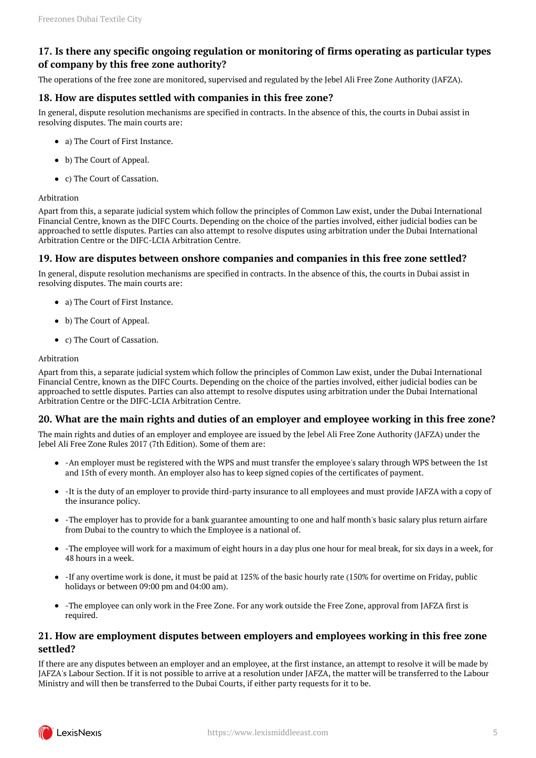## <span id="page-4-0"></span>**17. Is there any specific ongoing regulation or monitoring of firms operating as particular types of company by this free zone authority?**

The operations of the free zone are monitored, supervised and regulated by the Jebel Ali Free Zone Authority (JAFZA).

## <span id="page-4-1"></span>**18. How are disputes settled with companies in this free zone?**

In general, dispute resolution mechanisms are specified in contracts. In the absence of this, the courts in Dubai assist in resolving disputes. The main courts are:

- a) The Court of First Instance.
- b) The Court of Appeal.
- c) The Court of Cassation.

#### Arbitration

Apart from this, a separate judicial system which follow the principles of Common Law exist, under the Dubai International Financial Centre, known as the DIFC Courts. Depending on the choice of the parties involved, either judicial bodies can be approached to settle disputes. Parties can also attempt to resolve disputes using arbitration under the Dubai International Arbitration Centre or the DIFC-LCIA Arbitration Centre.

#### <span id="page-4-2"></span>**19. How are disputes between onshore companies and companies in this free zone settled?**

In general, dispute resolution mechanisms are specified in contracts. In the absence of this, the courts in Dubai assist in resolving disputes. The main courts are:

- a) The Court of First Instance.
- b) The Court of Appeal.
- c) The Court of Cassation.

#### Arbitration

Apart from this, a separate judicial system which follow the principles of Common Law exist, under the Dubai International Financial Centre, known as the DIFC Courts. Depending on the choice of the parties involved, either judicial bodies can be approached to settle disputes. Parties can also attempt to resolve disputes using arbitration under the Dubai International Arbitration Centre or the DIFC-LCIA Arbitration Centre.

## <span id="page-4-3"></span>**20. What are the main rights and duties of an employer and employee working in this free zone?**

The main rights and duties of an employer and employee are issued by the Jebel Ali Free Zone Authority (JAFZA) under the Jebel Ali Free Zone Rules 2017 (7th Edition). Some of them are:

- -An employer must be registered with the WPS and must transfer the employee's salary through WPS between the 1st and 15th of every month. An employer also has to keep signed copies of the certificates of payment.
- -It is the duty of an employer to provide third-party insurance to all employees and must provide JAFZA with a copy of the insurance policy.
- -The employer has to provide for a bank guarantee amounting to one and half month's basic salary plus return airfare from Dubai to the country to which the Employee is a national of.
- -The employee will work for a maximum of eight hours in a day plus one hour for meal break, for six days in a week, for 48 hours in a week.
- $\bullet$  -If any overtime work is done, it must be paid at 125% of the basic hourly rate (150% for overtime on Friday, public holidays or between 09:00 pm and 04:00 am).
- -The employee can only work in the Free Zone. For any work outside the Free Zone, approval from JAFZA first is required.

## <span id="page-4-4"></span>**21. How are employment disputes between employers and employees working in this free zone settled?**

If there are any disputes between an employer and an employee, at the first instance, an attempt to resolve it will be made by JAFZA's Labour Section. If it is not possible to arrive at a resolution under JAFZA, the matter will be transferred to the Labour Ministry and will then be transferred to the Dubai Courts, if either party requests for it to be.

<span id="page-4-5"></span>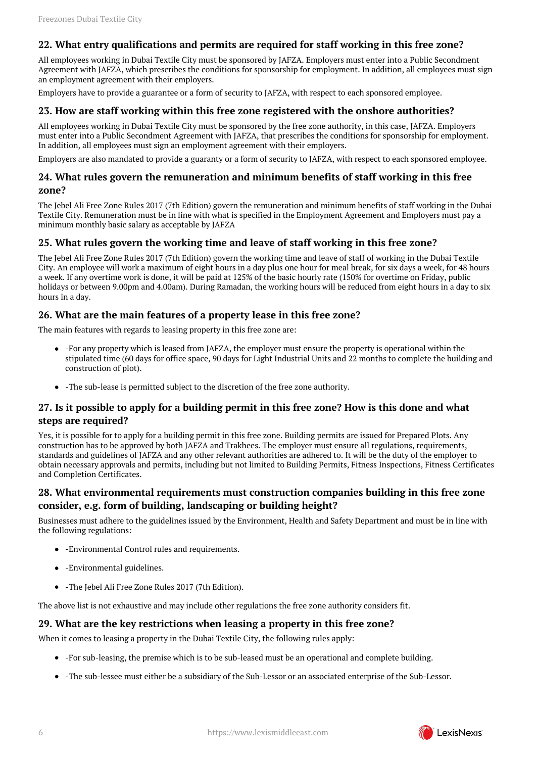## **22. What entry qualifications and permits are required for staff working in this free zone?**

All employees working in Dubai Textile City must be sponsored by JAFZA. Employers must enter into a Public Secondment Agreement with JAFZA, which prescribes the conditions for sponsorship for employment. In addition, all employees must sign an employment agreement with their employers.

Employers have to provide a guarantee or a form of security to JAFZA, with respect to each sponsored employee.

#### <span id="page-5-0"></span>**23. How are staff working within this free zone registered with the onshore authorities?**

All employees working in Dubai Textile City must be sponsored by the free zone authority, in this case, JAFZA. Employers must enter into a Public Secondment Agreement with JAFZA, that prescribes the conditions for sponsorship for employment. In addition, all employees must sign an employment agreement with their employers.

Employers are also mandated to provide a guaranty or a form of security to JAFZA, with respect to each sponsored employee.

## <span id="page-5-1"></span>**24. What rules govern the remuneration and minimum benefits of staff working in this free zone?**

The Jebel Ali Free Zone Rules 2017 (7th Edition) govern the remuneration and minimum benefits of staff working in the Dubai Textile City. Remuneration must be in line with what is specified in the Employment Agreement and Employers must pay a minimum monthly basic salary as acceptable by JAFZA

## <span id="page-5-2"></span>**25. What rules govern the working time and leave of staff working in this free zone?**

The Jebel Ali Free Zone Rules 2017 (7th Edition) govern the working time and leave of staff of working in the Dubai Textile City. An employee will work a maximum of eight hours in a day plus one hour for meal break, for six days a week, for 48 hours a week. If any overtime work is done, it will be paid at 125% of the basic hourly rate (150% for overtime on Friday, public holidays or between 9.00pm and 4.00am). During Ramadan, the working hours will be reduced from eight hours in a day to six hours in a day.

## <span id="page-5-3"></span>**26. What are the main features of a property lease in this free zone?**

The main features with regards to leasing property in this free zone are:

- -For any property which is leased from JAFZA, the employer must ensure the property is operational within the stipulated time (60 days for office space, 90 days for Light Industrial Units and 22 months to complete the building and construction of plot).
- -The sub-lease is permitted subject to the discretion of the free zone authority.

## <span id="page-5-4"></span>**27. Is it possible to apply for a building permit in this free zone? How is this done and what steps are required?**

Yes, it is possible for to apply for a building permit in this free zone. Building permits are issued for Prepared Plots. Any construction has to be approved by both JAFZA and Trakhees. The employer must ensure all regulations, requirements, standards and guidelines of JAFZA and any other relevant authorities are adhered to. It will be the duty of the employer to obtain necessary approvals and permits, including but not limited to Building Permits, Fitness Inspections, Fitness Certificates and Completion Certificates.

## <span id="page-5-5"></span>**28. What environmental requirements must construction companies building in this free zone consider, e.g. form of building, landscaping or building height?**

Businesses must adhere to the guidelines issued by the Environment, Health and Safety Department and must be in line with the following regulations:

- -Environmental Control rules and requirements.
- -Environmental guidelines.
- -The Jebel Ali Free Zone Rules 2017 (7th Edition).

The above list is not exhaustive and may include other regulations the free zone authority considers fit.

#### <span id="page-5-6"></span>**29. What are the key restrictions when leasing a property in this free zone?**

When it comes to leasing a property in the Dubai Textile City, the following rules apply:

- -For sub-leasing, the premise which is to be sub-leased must be an operational and complete building.
- -The sub-lessee must either be a subsidiary of the Sub-Lessor or an associated enterprise of the Sub-Lessor.

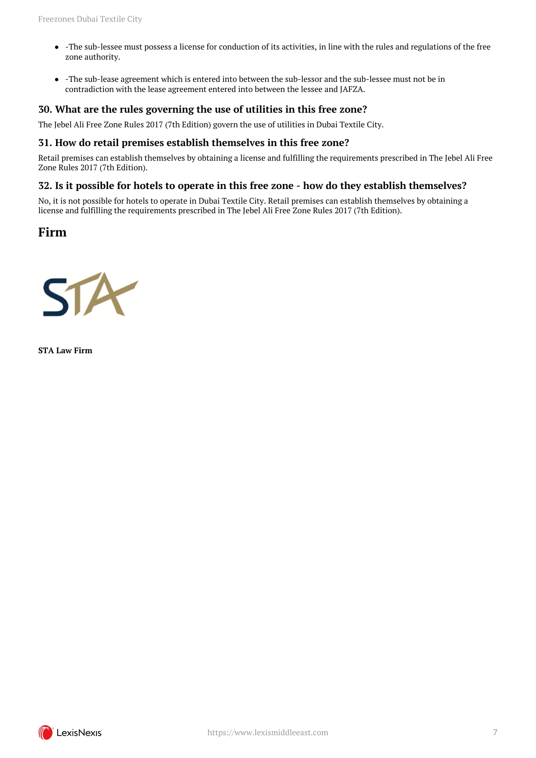- -The sub-lessee must possess a license for conduction of its activities, in line with the rules and regulations of the free zone authority.
- -The sub-lease agreement which is entered into between the sub-lessor and the sub-lessee must not be in contradiction with the lease agreement entered into between the lessee and JAFZA.

## <span id="page-6-0"></span>**30. What are the rules governing the use of utilities in this free zone?**

The Jebel Ali Free Zone Rules 2017 (7th Edition) govern the use of utilities in Dubai Textile City.

#### <span id="page-6-1"></span>**31. How do retail premises establish themselves in this free zone?**

Retail premises can establish themselves by obtaining a license and fulfilling the requirements prescribed in The Jebel Ali Free Zone Rules 2017 (7th Edition).

#### <span id="page-6-2"></span>**32. Is it possible for hotels to operate in this free zone - how do they establish themselves?**

No, it is not possible for hotels to operate in Dubai Textile City. Retail premises can establish themselves by obtaining a license and fulfilling the requirements prescribed in The Jebel Ali Free Zone Rules 2017 (7th Edition).

## <span id="page-6-3"></span>**Firm**



**STA Law Firm**